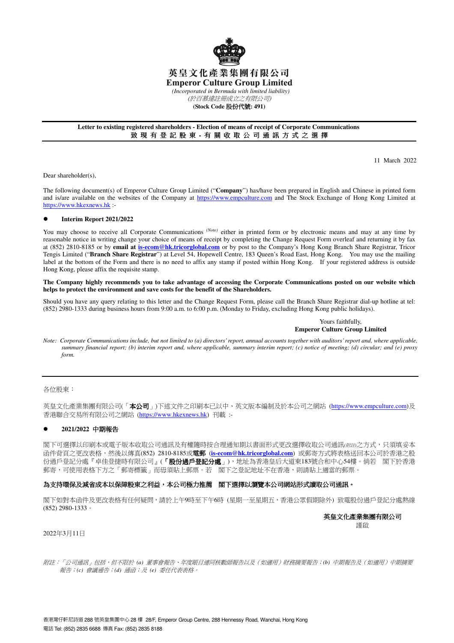

## 英皇文化產業集團有限公司 **Emperor Culture Group Limited**

 *(Incorporated in Bermuda with limited liability)* 

(於百慕達註冊成立之有限公司)

**(Stock Code** 股份代號**: 491)** 

#### **Letter to existing registered shareholders - Election of means of receipt of Corporate Communications**  致 現 有 登 記 股 東 - 有 關 收 取 公 司 通 訊 方 式 之 選 擇

11 March 2022

Dear shareholder(s),

The following document(s) of Emperor Culture Group Limited ("**Company**") has/have been prepared in English and Chinese in printed form and is/are available on the websites of the Company at https://www.empculture.com and The Stock Exchange of Hong Kong Limited at https://www.hkexnews.hk :-

#### **Interim Report 2021/2022**

You may choose to receive all Corporate Communications <sup>(Note)</sup> either in printed form or by electronic means and may at any time by reasonable notice in writing change your choice of means of receipt by completing the Change Request Form overleaf and returning it by fax at (852) 2810-8185 or by **email at is-ecom@hk.tricorglobal.com** or by post to the Company's Hong Kong Branch Share Registrar, Tricor Tengis Limited ("**Branch Share Registrar**") at Level 54, Hopewell Centre, 183 Queen's Road East, Hong Kong. You may use the mailing label at the bottom of the Form and there is no need to affix any stamp if posted within Hong Kong. If your registered address is outside Hong Kong, please affix the requisite stamp.

#### **The Company highly recommends you to take advantage of accessing the Corporate Communications posted on our website which helps to protect the environment and save costs for the benefit of the Shareholders.**

Should you have any query relating to this letter and the Change Request Form, please call the Branch Share Registrar dial-up hotline at tel: (852) 2980-1333 during business hours from 9:00 a.m. to 6:00 p.m. (Monday to Friday, excluding Hong Kong public holidays).

## Yours faithfully, **Emperor Culture Group Limited**

*Note: Corporate Communications include, but not limited to (a) directors' report, annual accounts together with auditors' report and, where applicable, summary financial report; (b) interim report and, where applicable, summary interim report; (c) notice of meeting; (d) circular; and (e) proxy form.* 

各位股東:

英皇文化產業集團有限公司(「本公司」)下述文件之印刷本已以中、英文版本編制及於本公司之網站 (https://www.empculture.com)及 香港聯合交易所有限公司之網站 (https://www.hkexnews.hk) 刊載 :-

## **2021/2022** 中期報告

閣下可選擇以印刷本或電子版本收取公司通訊及有權隨時按合理通知期以書面形式更改選擇收取公司通訊*(*附註*)*之方式,只須填妥本 函件背頁之更改表格,然後以傳真(852) 2810-8185或電郵 (**is-ecom@hk.tricorglobal.com**) 或郵寄方式將表格送回本公司於香港之股 份過戶登記分處『卓佳登捷時有限公司』(「股份過戶登記分處」),地址為香港皇后大道東183號合和中心54樓。倘若 閣下於香港 郵寄,可使用表格下方之「郵寄標籤」而毋須貼上郵票。若 閣下之登記地址不在香港,則請貼上適當的郵票。

## 為支持環保及減省成本以保障股東之利益,本公司極力推薦 , 閣下選擇以瀏覽本公司網站形式讀取公司通訊。

閣下如對本函件及更改表格有任何疑問,請於上午9時至下午6時 (星期一至星期五,香港公眾假期除外) 致電股份過戶登記分處熱線 (852) 2980-1333。

> 英皇文化產業集團有限公司 謹啟

2022年3月11日

附註:「公司通訊」包括,但不限於 *(a)* 董事會報告、年度賬目連同核數師報告以及(如適用)財務摘要報告;*(b)* 中期報告及(如適用)中期摘要 報告;*(c)* 會議通告;*(d)* 通函;及 *(e)* 委任代表表格。